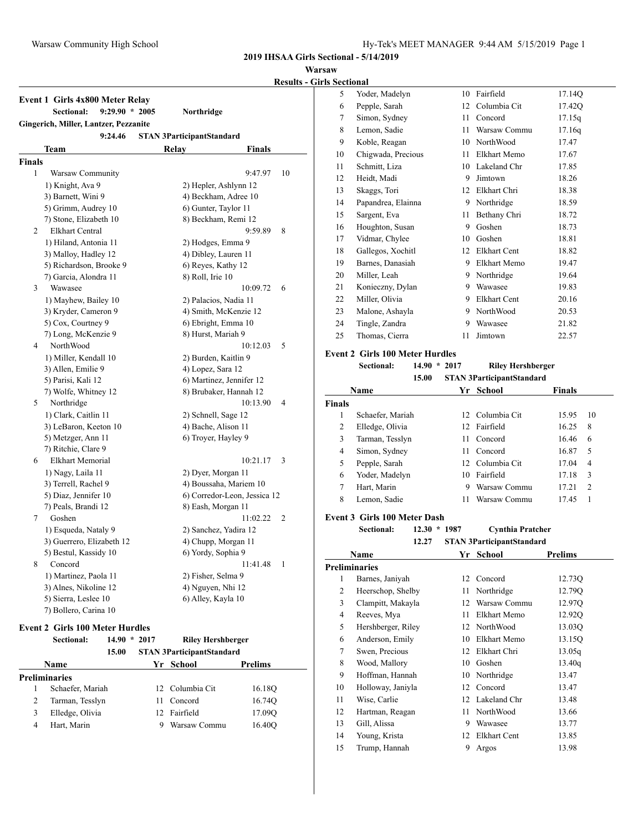#### **Warsaw**

## **Results - Girls Sectional**

|        | $9:29.90 * 2005$<br><b>Sectional:</b>            | Northridge                       |
|--------|--------------------------------------------------|----------------------------------|
|        | Gingerich, Miller, Lantzer, Pezzanite<br>9:24.46 | <b>STAN 3ParticipantStandard</b> |
|        | Team                                             | Relav<br><b>Finals</b>           |
| Finals |                                                  |                                  |
| 1      | Warsaw Community                                 | 9:47.97<br>10                    |
|        | 1) Knight, Ava 9                                 | 2) Hepler, Ashlynn 12            |
|        | 3) Barnett, Wini 9                               | 4) Beckham, Adree 10             |
|        | 5) Grimm, Audrey 10                              | 6) Gunter, Taylor 11             |
|        | 7) Stone, Elizabeth 10                           | 8) Beckham, Remi 12              |
| 2      | <b>Elkhart Central</b>                           | 9:59.89<br>8                     |
|        | 1) Hiland, Antonia 11                            | 2) Hodges, Emma 9                |
|        | 3) Malloy, Hadley 12                             | 4) Dibley, Lauren 11             |
|        | 5) Richardson, Brooke 9                          | 6) Reyes, Kathy 12               |
|        | 7) Garcia, Alondra 11                            | 8) Roll, Irie 10                 |
| 3      | Wawasee                                          | 10:09.72<br>6                    |
|        | 1) Mayhew, Bailey 10                             | 2) Palacios, Nadia 11            |
|        | 3) Kryder, Cameron 9                             | 4) Smith, McKenzie 12            |
|        | 5) Cox, Courtney 9                               | 6) Ebright, Emma 10              |
|        | 7) Long, McKenzie 9                              | 8) Hurst, Mariah 9               |
| 4      | NorthWood                                        | 10:12.03<br>5                    |
|        | 1) Miller, Kendall 10                            | 2) Burden, Kaitlin 9             |
|        | 3) Allen, Emilie 9                               | 4) Lopez, Sara 12                |
|        | 5) Parisi, Kali 12                               | 6) Martinez, Jennifer 12         |
|        | 7) Wolfe, Whitney 12                             | 8) Brubaker, Hannah 12           |
| 5      | Northridge                                       | 10:13.90<br>$\overline{4}$       |
|        | 1) Clark, Caitlin 11                             | 2) Schnell, Sage 12              |
|        | 3) LeBaron, Keeton 10                            | 4) Bache, Alison 11              |
|        | 5) Metzger, Ann 11                               | 6) Troyer, Hayley 9              |
|        | 7) Ritchie, Clare 9                              |                                  |
| 6      | <b>Elkhart Memorial</b>                          | 10:21.17<br>3                    |
|        | 1) Nagy, Laila 11                                | 2) Dyer, Morgan 11               |
|        | 3) Terrell, Rachel 9                             | 4) Boussaha, Mariem 10           |
|        | 5) Diaz, Jennifer 10                             | 6) Corredor-Leon, Jessica 12     |
|        | 7) Peals, Brandi 12                              | 8) Eash, Morgan 11               |
| 7      | Goshen                                           | 11:02.22<br>2                    |
|        | 1) Esqueda, Nataly 9                             | 2) Sanchez, Yadira 12            |
|        | 3) Guerrero, Elizabeth 12                        | 4) Chupp, Morgan 11              |
|        | 5) Bestul, Kassidy 10                            | 6) Yordy, Sophia 9               |
| 8      | Concord                                          | 11:41.48<br>1                    |
|        | 1) Martinez, Paola 11                            | 2) Fisher, Selma 9               |
|        | 3) Alnes, Nikoline 12                            | 4) Nguyen, Nhi 12                |
|        | 5) Sierra, Leslee 10                             | 6) Alley, Kayla 10               |
|        | 7) Bollero, Carina 10                            |                                  |

## **Event 2 Girls 100 Meter Hurdles**

|   | <b>Sectional:</b>    | 14.90<br>15.00 | $*2017$ | <b>Riley Hershberger</b><br><b>STAN 3ParticipantStandard</b> |                |
|---|----------------------|----------------|---------|--------------------------------------------------------------|----------------|
|   | <b>Name</b>          |                |         | Yr School                                                    | <b>Prelims</b> |
|   | <b>Preliminaries</b> |                |         |                                                              |                |
|   | Schaefer, Mariah     |                |         | 12 Columbia Cit                                              | 16.18Q         |
| 2 | Tarman, Tesslyn      |                | 11      | Concord                                                      | 16.74Q         |
| 3 | Elledge, Olivia      |                | 12.     | Fairfield                                                    | 17.09Q         |
| 4 | Hart, Marin          |                |         | Warsaw Commu                                                 | 16.40O         |

| 5  | Yoder, Madelyn     | 10 | Fairfield           | 17.14Q |
|----|--------------------|----|---------------------|--------|
| 6  | Pepple, Sarah      | 12 | Columbia Cit        | 17.420 |
| 7  | Simon, Sydney      | 11 | Concord             | 17.15q |
| 8  | Lemon, Sadie       | 11 | Warsaw Commu        | 17.16q |
| 9  | Koble, Reagan      | 10 | NorthWood           | 17.47  |
| 10 | Chigwada, Precious | 11 | Elkhart Memo        | 17.67  |
| 11 | Schmitt, Liza      | 10 | Lakeland Chr        | 17.85  |
| 12 | Heidt, Madi        | 9  | Jimtown             | 18.26  |
| 13 | Skaggs, Tori       | 12 | Elkhart Chri        | 18.38  |
| 14 | Papandrea, Elainna | 9  | Northridge          | 18.59  |
| 15 | Sargent, Eva       | 11 | Bethany Chri        | 18.72  |
| 16 | Houghton, Susan    | 9  | Goshen              | 18.73  |
| 17 | Vidmar, Chylee     | 10 | Goshen              | 18.81  |
| 18 | Gallegos, Xochitl  | 12 | <b>Elkhart Cent</b> | 18.82  |
| 19 | Barnes, Danasiah   | 9  | Elkhart Memo        | 19.47  |
| 20 | Miller, Leah       | 9  | Northridge          | 19.64  |
| 21 | Konieczny, Dylan   | 9  | Wawasee             | 19.83  |
| 22 | Miller, Olivia     | 9  | Elkhart Cent        | 20.16  |
| 23 | Malone, Ashayla    | 9  | NorthWood           | 20.53  |
| 24 | Tingle, Zandra     | 9  | Wawasee             | 21.82  |
| 25 | Thomas, Cierra     | 11 | Jimtown             | 22.57  |
|    |                    |    |                     |        |

# **Event 2 Girls 100 Meter Hurdles**

### **Sectional: 14.90 \* 2017 Riley Hershberger 15.00 STAN 3ParticipantStandard**

| 1.9.VV<br>э тагу эт агимранизиниаги |                  |    |                 |        |               |
|-------------------------------------|------------------|----|-----------------|--------|---------------|
|                                     | Name             | Yr | School          | Finals |               |
| <b>Finals</b>                       |                  |    |                 |        |               |
| 1                                   | Schaefer, Mariah |    | 12 Columbia Cit | 15.95  | 10            |
| $\overline{c}$                      | Elledge, Olivia  |    | 12 Fairfield    | 16.25  | 8             |
| 3                                   | Tarman, Tesslyn  | 11 | Concord         | 16.46  | 6             |
| 4                                   | Simon, Sydney    | 11 | Concord         | 16.87  | 5             |
| 5                                   | Pepple, Sarah    |    | 12 Columbia Cit | 17.04  | 4             |
| 6                                   | Yoder, Madelyn   | 10 | Fairfield       | 17.18  | 3             |
| 7                                   | Hart, Marin      | 9  | Warsaw Commu    | 17.21  | $\mathcal{L}$ |
| 8                                   | Lemon, Sadie     | 11 | Warsaw Commu    | 17.45  |               |
|                                     |                  |    |                 |        |               |

# **Event 3 Girls 100 Meter Dash**

| Sectional: | $12.30 * 1987$ | <b>Cynthia Pratcher</b> |
|------------|----------------|-------------------------|
|------------|----------------|-------------------------|

**12.27 STAN 3ParticipantStandard Name Yr School Prelims**

| гуаше |                      |     | эспоог              | гтениіз            |  |
|-------|----------------------|-----|---------------------|--------------------|--|
|       | <b>Preliminaries</b> |     |                     |                    |  |
| 1     | Barnes, Janiyah      |     | 12 Concord          | 12.73Q             |  |
| 2     | Heerschop, Shelby    | 11  | Northridge          | 12.79 <sub>O</sub> |  |
| 3     | Clampitt, Makayla    | 12  | Warsaw Commu        | 12.97Q             |  |
| 4     | Reeves, Mya          | 11  | Elkhart Memo        | 12.92Q             |  |
| 5     | Hershberger, Riley   |     | 12 NorthWood        | 13.03Q             |  |
| 6     | Anderson, Emily      | 10  | Elkhart Memo        | 13.15O             |  |
| 7     | Swen, Precious       | 12  | Elkhart Chri        | 13.05q             |  |
| 8     | Wood, Mallory        | 10  | Goshen              | 13.40q             |  |
| 9     | Hoffman, Hannah      | 10  | Northridge          | 13.47              |  |
| 10    | Holloway, Janiyla    | 12  | Concord             | 13.47              |  |
| 11    | Wise, Carlie         | 12. | Lakeland Chr        | 13.48              |  |
| 12    | Hartman, Reagan      | 11  | NorthWood           | 13.66              |  |
| 13    | Gill, Alissa         | 9   | Wawasee             | 13.77              |  |
| 14    | Young, Krista        | 12  | <b>Elkhart Cent</b> | 13.85              |  |
| 15    | Trump, Hannah        | 9   | Argos               | 13.98              |  |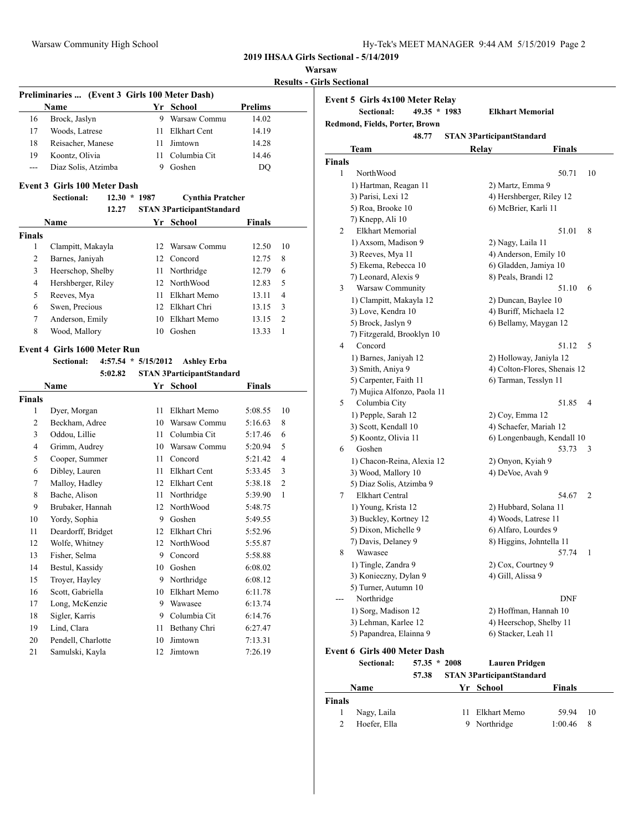|  | Hy-Tek's MEET MANAGER 9:44 AM 5/15/2019 Page 2 |  |  |
|--|------------------------------------------------|--|--|
|  |                                                |  |  |

# **Warsaw**

|               |                                               |                       |                                  |               |                | <b>Results - Girls Sectional</b> |
|---------------|-----------------------------------------------|-----------------------|----------------------------------|---------------|----------------|----------------------------------|
|               | Preliminaries  (Event 3 Girls 100 Meter Dash) |                       |                                  |               |                | <b>Event 5 Gir</b>               |
|               | Name                                          |                       | Yr School                        | Prelims       |                | Sec1                             |
| 16            | Brock, Jaslyn                                 |                       | 9 Warsaw Commu                   | 14.02         |                | Redmond, Fi                      |
| 17            | Woods, Latrese                                | 11                    | <b>Elkhart Cent</b>              | 14.19         |                |                                  |
| 18            | Reisacher, Manese                             | 11                    | Jimtown                          | 14.28         |                | <b>Team</b>                      |
| 19            | Koontz, Olivia                                | 11                    | Columbia Cit                     | 14.46         |                | <b>Finals</b>                    |
| ---           | Diaz Solis, Atzimba                           |                       | 9 Goshen                         | DQ            |                | $\mathbf{1}$<br>Nort             |
|               | <b>Event 3 Girls 100 Meter Dash</b>           |                       |                                  |               |                | 1) Har                           |
|               | Sectional:                                    | $12.30 * 1987$        | <b>Cynthia Pratcher</b>          |               |                | 3) Pari                          |
|               | 12.27                                         |                       | <b>STAN 3ParticipantStandard</b> |               |                | 5) Roa                           |
|               | Name                                          |                       | Yr School                        | <b>Finals</b> |                | 7) Kne                           |
| <b>Finals</b> |                                               |                       |                                  |               |                | 2<br>Elkh                        |
| 1             | Clampitt, Makayla                             | 12                    | Warsaw Commu                     | 12.50         | 10             | $1)$ Axs                         |
| 2             | Barnes, Janiyah                               |                       | 12 Concord                       | 12.75         | 8              | 3) Ree                           |
| 3             | Heerschop, Shelby                             | 11                    | Northridge                       | 12.79         | 6              | 5) Eke                           |
| 4             | Hershberger, Riley                            |                       | 12 NorthWood                     | 12.83         | 5              | 7) Leo                           |
| 5             | Reeves, Mya                                   | 11                    | Elkhart Memo                     | 13.11         | 4              | 3<br><b>Wars</b>                 |
| 6             | Swen, Precious                                |                       | 12 Elkhart Chri                  | 13.15         | 3              | 1) Cla                           |
| 7             | Anderson, Emily                               |                       | 10 Elkhart Memo                  | 13.15         | 2              | $3)$ Lov                         |
| 8             | Wood, Mallory                                 |                       | 10 Goshen                        | 13.33         | $\mathbf{1}$   | 5) Bro                           |
|               |                                               |                       |                                  |               |                | 7) Fitz                          |
|               | <b>Event 4 Girls 1600 Meter Run</b>           |                       |                                  |               |                | 4<br>Con                         |
|               | Sectional:                                    | $4:57.54 * 5/15/2012$ | <b>Ashley Erba</b>               |               |                | 1) Bar                           |
|               | 5:02.82                                       |                       | <b>STAN 3ParticipantStandard</b> |               |                | 3) Smi                           |
|               | Name                                          |                       | Yr School                        | <b>Finals</b> |                | $5)$ Car                         |
| <b>Finals</b> |                                               |                       |                                  |               |                | 7) Muj<br>5<br>Colu              |
| $\mathbf{1}$  | Dyer, Morgan                                  | 11                    | Elkhart Memo                     | 5:08.55       | 10             | $1)$ Pep                         |
| 2             | Beckham, Adree                                |                       | 10 Warsaw Commu                  | 5:16.63       | 8              | $3)$ Sco                         |
| 3             | Oddou, Lillie                                 | 11                    | Columbia Cit                     | 5:17.46       | 6              | 5) Koo                           |
| 4             | Grimm, Audrey                                 |                       | 10 Warsaw Commu                  | 5:20.94       | 5              | 6<br>Gosl                        |
| 5             | Cooper, Summer                                | 11                    | Concord                          | 5:21.42       | 4              | $1)$ Cha                         |
| 6             | Dibley, Lauren                                | 11                    | <b>Elkhart Cent</b>              | 5:33.45       | 3              | $3)$ Woo                         |
| 7             | Malloy, Hadley                                |                       | 12 Elkhart Cent                  | 5:38.18       | $\mathfrak{2}$ | 5) Dia                           |
| 8             | Bache, Alison                                 | 11                    | Northridge                       | 5:39.90       | 1              | 7<br>Elkh                        |
| 9             | Brubaker, Hannah                              | 12                    | NorthWood                        | 5:48.75       |                | 1) You                           |
| 10            | Yordy, Sophia                                 |                       | 9 Goshen                         | 5:49.55       |                | 3) Buc                           |
| 11            | Deardorff, Bridget                            |                       | 12 Elkhart Chri                  | 5:52.96       |                | 5) Dix                           |
| 12            | Wolfe, Whitney                                |                       | 12 NorthWood                     | 5:55.87       |                | 7) Dav                           |
| 13            | Fisher, Selma                                 | 9                     | Concord                          | 5:58.88       |                | 8<br>Waw                         |
| 14            | Bestul, Kassidy                               | 10                    | Goshen                           | 6:08.02       |                | $1)$ Ting                        |
| 15            | Troyer, Hayley                                | 9                     | Northridge                       | 6:08.12       |                | 3) Kor                           |

 Scott, Gabriella 10 Elkhart Memo 6:11.78 Long, McKenzie 9 Wawasee 6:13.74 18 Sigler, Karris 9 Columbia Cit 6:14.76 Lind, Clara 11 Bethany Chri 6:27.47 Pendell, Charlotte 10 Jimtown 7:13.31 Samulski, Kayla 12 Jimtown 7:26.19

|                | Event 5 Girls 4x100 Meter Relay     |                |    |                                  |                              |    |
|----------------|-------------------------------------|----------------|----|----------------------------------|------------------------------|----|
|                | Sectional:                          | 49.35 * 1983   |    | <b>Elkhart Memorial</b>          |                              |    |
|                | Redmond, Fields, Porter, Brown      |                |    |                                  |                              |    |
|                |                                     | 48.77          |    | <b>STAN 3ParticipantStandard</b> |                              |    |
|                | Team                                |                |    | Relay                            | <b>Finals</b>                |    |
| <b>Finals</b>  |                                     |                |    |                                  |                              |    |
| $\mathbf{1}$   | NorthWood                           |                |    |                                  | 50.71                        | 10 |
|                | 1) Hartman, Reagan 11               |                |    | 2) Martz, Emma 9                 |                              |    |
|                | 3) Parisi, Lexi 12                  |                |    | 4) Hershberger, Riley 12         |                              |    |
|                | 5) Roa, Brooke 10                   |                |    | 6) McBrier, Karli 11             |                              |    |
|                | 7) Knepp, Ali 10                    |                |    |                                  |                              |    |
| 2              | <b>Elkhart Memorial</b>             |                |    |                                  | 51.01                        | 8  |
|                | 1) Axsom, Madison 9                 |                |    | 2) Nagy, Laila 11                |                              |    |
|                | 3) Reeves, Mya 11                   |                |    | 4) Anderson, Emily 10            |                              |    |
|                | 5) Ekema, Rebecca 10                |                |    | 6) Gladden, Jamiya 10            |                              |    |
|                | 7) Leonard, Alexis 9                |                |    | 8) Peals, Brandi 12              |                              |    |
| 3              | Warsaw Community                    |                |    |                                  | 51.10                        | 6  |
|                | 1) Clampitt, Makayla 12             |                |    | 2) Duncan, Baylee 10             |                              |    |
|                | 3) Love, Kendra 10                  |                |    | 4) Buriff, Michaela 12           |                              |    |
|                | 5) Brock, Jaslyn 9                  |                |    | 6) Bellamy, Maygan 12            |                              |    |
|                | 7) Fitzgerald, Brooklyn 10          |                |    |                                  |                              |    |
| 4              | Concord                             |                |    |                                  | 51.12                        | 5  |
|                | 1) Barnes, Janiyah 12               |                |    | 2) Holloway, Janiyla 12          |                              |    |
|                | 3) Smith, Aniya 9                   |                |    |                                  | 4) Colton-Flores, Shenais 12 |    |
|                | 5) Carpenter, Faith 11              |                |    | 6) Tarman, Tesslyn 11            |                              |    |
|                | 7) Mujica Alfonzo, Paola 11         |                |    |                                  |                              |    |
| 5              | Columbia City                       |                |    |                                  | 51.85                        | 4  |
|                | 1) Pepple, Sarah 12                 |                |    | 2) Coy, Emma 12                  |                              |    |
|                | 3) Scott, Kendall 10                |                |    | 4) Schaefer, Mariah 12           |                              |    |
|                | 5) Koontz, Olivia 11                |                |    |                                  | 6) Longenbaugh, Kendall 10   |    |
| 6              | Goshen                              |                |    |                                  | 53.73                        | 3  |
|                | 1) Chacon-Reina, Alexia 12          |                |    | 2) Onyon, Kyiah 9                |                              |    |
|                | 3) Wood, Mallory 10                 |                |    | 4) DeVoe, Avah 9                 |                              |    |
|                | 5) Diaz Solis, Atzimba 9            |                |    |                                  |                              |    |
| 7              | <b>Elkhart Central</b>              |                |    |                                  | 54.67                        | 2  |
|                | 1) Young, Krista 12                 |                |    | 2) Hubbard, Solana 11            |                              |    |
|                | 3) Buckley, Kortney 12              |                |    | 4) Woods, Latrese 11             |                              |    |
|                | 5) Dixon, Michelle 9                |                |    | 6) Alfaro, Lourdes 9             |                              |    |
|                | 7) Davis, Delaney 9                 |                |    | 8) Higgins, Johntella 11         |                              |    |
| 8              | Wawasee                             |                |    |                                  | 57.74                        | 1  |
|                | 1) Tingle, Zandra 9                 |                |    | 2) Cox, Courtney 9               |                              |    |
|                | 3) Konieczny, Dylan 9               |                |    | 4) Gill, Alissa 9                |                              |    |
|                | 5) Turner, Autumn 10                |                |    |                                  |                              |    |
|                | Northridge                          |                |    |                                  | DNF                          |    |
|                | 1) Sorg, Madison 12                 |                |    | 2) Hoffman, Hannah 10            |                              |    |
|                | 3) Lehman, Karlee 12                |                |    | 4) Heerschop, Shelby 11          |                              |    |
|                | 5) Papandrea, Elainna 9             |                |    | 6) Stacker, Leah 11              |                              |    |
|                |                                     |                |    |                                  |                              |    |
|                | <b>Event 6 Girls 400 Meter Dash</b> |                |    |                                  |                              |    |
|                | Sectional:                          | $57.35 * 2008$ |    | <b>Lauren Pridgen</b>            |                              |    |
|                |                                     | 57.38          |    | <b>STAN 3ParticipantStandard</b> |                              |    |
|                | Name                                |                |    | Yr School                        | Finals                       |    |
| Finals         |                                     |                |    |                                  |                              |    |
| 1              | Nagy, Laila                         |                | 11 | Elkhart Memo                     | 59.94                        | 10 |
| $\overline{2}$ | Hoefer, Ella                        |                | 9  | Northridge                       | 1:00.46                      | 8  |
|                |                                     |                |    |                                  |                              |    |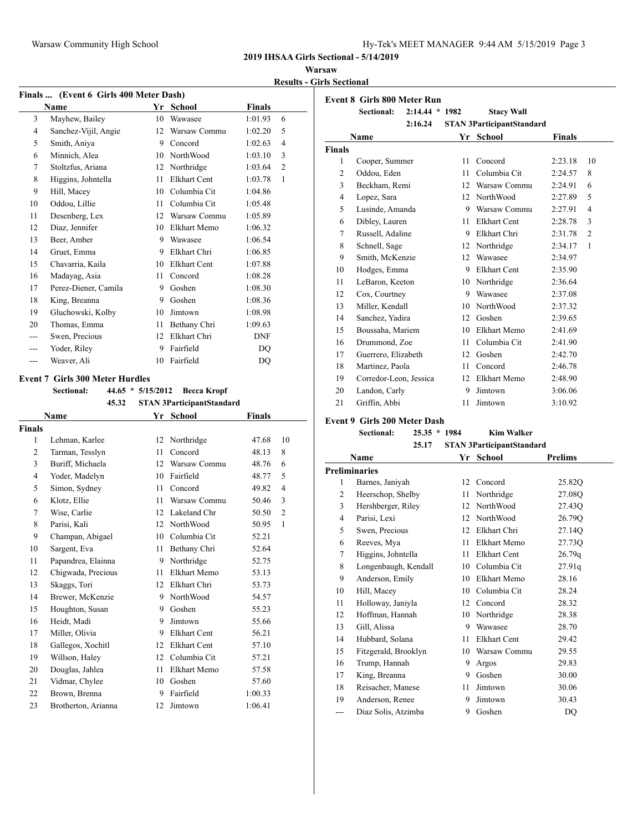**Warsaw Results - Girls Sectional**

| Finals  (Event 6 Girls 400 Meter Dash) |                                        |                     |                                  |               |                |  |  |
|----------------------------------------|----------------------------------------|---------------------|----------------------------------|---------------|----------------|--|--|
|                                        | <b>Name</b>                            | Yr                  | School                           | <b>Finals</b> |                |  |  |
| 3                                      | Mayhew, Bailey                         | 10                  | Wawasee                          | 1:01.93       | 6              |  |  |
| 4                                      | Sanchez-Vijil, Angie                   | 12                  | Warsaw Commu                     | 1:02.20       | 5              |  |  |
| 5                                      | Smith, Aniya                           | 9                   | Concord                          | 1:02.63       | $\overline{4}$ |  |  |
| 6                                      | Minnich, Alea                          | 10                  | NorthWood                        | 1:03.10       | 3              |  |  |
| 7                                      | Stoltzfus, Ariana                      | 12                  | Northridge                       | 1:03.64       | $\overline{2}$ |  |  |
| 8                                      | Higgins, Johntella                     | 11                  | Elkhart Cent                     | 1:03.78       | 1              |  |  |
| 9                                      | Hill, Macey                            | 10                  | Columbia Cit                     | 1:04.86       |                |  |  |
| 10                                     | Oddou, Lillie                          | 11                  | Columbia Cit                     | 1:05.48       |                |  |  |
| 11                                     | Desenberg, Lex                         | 12                  | Warsaw Commu                     | 1:05.89       |                |  |  |
| 12                                     | Diaz, Jennifer                         | 10                  | Elkhart Memo                     | 1:06.32       |                |  |  |
| 13                                     | Beer, Amber                            | 9                   | Wawasee                          | 1:06.54       |                |  |  |
| 14                                     | Gruet, Emma                            | 9                   | Elkhart Chri                     | 1:06.85       |                |  |  |
| 15                                     | Chavarria, Kaila                       | 10                  | <b>Elkhart Cent</b>              | 1:07.88       |                |  |  |
| 16                                     | Madayag, Asia                          | 11                  | Concord                          | 1:08.28       |                |  |  |
| 17                                     | Perez-Diener, Camila                   | 9                   | Goshen                           | 1:08.30       |                |  |  |
| 18                                     | King, Breanna                          | 9                   | Goshen                           | 1:08.36       |                |  |  |
| 19                                     | Gluchowski, Kolby                      | 10                  | Jimtown                          | 1:08.98       |                |  |  |
| 20                                     | Thomas, Emma                           | 11                  | Bethany Chri                     | 1:09.63       |                |  |  |
|                                        | Swen, Precious                         | 12                  | Elkhart Chri                     | <b>DNF</b>    |                |  |  |
|                                        | Yoder, Riley                           | 9                   | Fairfield                        | DO            |                |  |  |
| ---                                    | Weaver, Ali                            | 10                  | Fairfield                        | DQ            |                |  |  |
|                                        | <b>Event 7 Girls 300 Meter Hurdles</b> |                     |                                  |               |                |  |  |
|                                        | Sectional:                             | $44.65 * 5/15/2012$ | <b>Becca Kropf</b>               |               |                |  |  |
|                                        | 45.32                                  |                     | <b>STAN 3ParticipantStandard</b> |               |                |  |  |
|                                        | <b>Name</b>                            |                     | Yr School                        | Finals        |                |  |  |
| <b>Finals</b>                          |                                        |                     |                                  |               |                |  |  |
| 1                                      | Lehman, Karlee                         | 12                  | Northridge                       | 47.68         | 10             |  |  |
| <sup>2</sup>                           | Tarman Tecclyn                         |                     | 11 Concord                       | 48.13         | Q.             |  |  |

| 1  | Lehman, Karlee      |    | 12 Northridge       | 47.68   | 10             |
|----|---------------------|----|---------------------|---------|----------------|
| 2  | Tarman, Tesslyn     | 11 | Concord             | 48.13   | 8              |
| 3  | Buriff, Michaela    | 12 | Warsaw Commu        | 48.76   | 6              |
| 4  | Yoder, Madelyn      | 10 | Fairfield           | 48.77   | 5              |
| 5  | Simon, Sydney       | 11 | Concord             | 49.82   | $\overline{4}$ |
| 6  | Klotz, Ellie        | 11 | Warsaw Commu        | 50.46   | 3              |
| 7  | Wise, Carlie        | 12 | Lakeland Chr        | 50.50   | 2              |
| 8  | Parisi, Kali        | 12 | NorthWood           | 50.95   | 1              |
| 9  | Champan, Abigael    | 10 | Columbia Cit        | 52.21   |                |
| 10 | Sargent, Eva        | 11 | Bethany Chri        | 52.64   |                |
| 11 | Papandrea, Elainna  | 9  | Northridge          | 52.75   |                |
| 12 | Chigwada, Precious  | 11 | Elkhart Memo        | 53.13   |                |
| 13 | Skaggs, Tori        | 12 | Elkhart Chri        | 53.73   |                |
| 14 | Brewer, McKenzie    | 9  | NorthWood           | 54.57   |                |
| 15 | Houghton, Susan     | 9  | Goshen              | 55.23   |                |
| 16 | Heidt, Madi         | 9  | Jimtown             | 55.66   |                |
| 17 | Miller, Olivia      | 9  | Elkhart Cent        | 56.21   |                |
| 18 | Gallegos, Xochitl   | 12 | <b>Elkhart Cent</b> | 57.10   |                |
| 19 | Willson, Haley      | 12 | Columbia Cit        | 57.21   |                |
| 20 | Douglas, Jahlea     | 11 | Elkhart Memo        | 57.58   |                |
| 21 | Vidmar, Chylee      | 10 | Goshen              | 57.60   |                |
| 22 | Brown, Brenna       | 9  | Fairfield           | 1:00.33 |                |
| 23 | Brotherton, Arianna | 12 | Jimtown             | 1:06.41 |                |
|    |                     |    |                     |         |                |

|                | <b>Event 8 Girls 800 Meter Run</b> |                  |    |                                  |               |                |
|----------------|------------------------------------|------------------|----|----------------------------------|---------------|----------------|
|                | <b>Sectional:</b>                  | $2:14.44 * 1982$ |    | <b>Stacy Wall</b>                |               |                |
|                |                                    | 2:16.24          |    | <b>STAN 3ParticipantStandard</b> |               |                |
|                | Name                               |                  | Yr | School                           | <b>Finals</b> |                |
| <b>Finals</b>  |                                    |                  |    |                                  |               |                |
| $\mathbf{1}$   | Cooper, Summer                     |                  | 11 | Concord                          | 2:23.18       | 10             |
| $\overline{2}$ | Oddou, Eden                        |                  | 11 | Columbia Cit                     | 2:24.57       | 8              |
| 3              | Beckham, Remi                      |                  | 12 | Warsaw Commu                     | 2:24.91       | 6              |
| $\overline{4}$ | Lopez, Sara                        |                  | 12 | <b>NorthWood</b>                 | 2:27.89       | 5              |
| 5              | Lusinde, Amanda                    |                  | 9  | Warsaw Commu                     | 2:27.91       | 4              |
| 6              | Dibley, Lauren                     |                  | 11 | Elkhart Cent                     | 2:28.78       | 3              |
| 7              | Russell, Adaline                   |                  | 9  | Elkhart Chri                     | 2:31.78       | $\overline{2}$ |
| 8              | Schnell, Sage                      |                  | 12 | Northridge                       | 2:34.17       | 1              |
| 9              | Smith, McKenzie                    |                  | 12 | Wawasee                          | 2:34.97       |                |
| 10             | Hodges, Emma                       |                  | 9  | <b>Elkhart Cent</b>              | 2:35.90       |                |
| 11             | LeBaron, Keeton                    |                  | 10 | Northridge                       | 2:36.64       |                |
| 12             | Cox, Courtney                      |                  | 9  | Wawasee                          | 2:37.08       |                |
| 13             | Miller, Kendall                    |                  | 10 | <b>NorthWood</b>                 | 2:37.32       |                |
| 14             | Sanchez, Yadira                    |                  | 12 | Goshen                           | 2:39.65       |                |
| 15             | Boussaha, Mariem                   |                  | 10 | Elkhart Memo                     | 2:41.69       |                |
| 16             | Drummond, Zoe                      |                  | 11 | Columbia Cit                     | 2:41.90       |                |
| 17             | Guerrero, Elizabeth                |                  | 12 | Goshen                           | 2:42.70       |                |
| 18             | Martinez, Paola                    |                  | 11 | Concord                          | 2:46.78       |                |
| 19             | Corredor-Leon, Jessica             |                  | 12 | Elkhart Memo                     | 2:48.90       |                |
| 20             | Landon, Carly                      |                  | 9  | Jimtown                          | 3:06.06       |                |
| 21             | Griffin, Abbi                      |                  | 11 | Jimtown                          | 3:10.92       |                |

## **Event 9 Girls 200 Meter Dash**

**Sectional: 25.35 \* 1984 Kim Walker 25.17 STAN 3ParticipantStandard**

|                | Name                 | Yr | School              | <b>Prelims</b> |
|----------------|----------------------|----|---------------------|----------------|
|                | <b>Preliminaries</b> |    |                     |                |
| 1              | Barnes, Janiyah      | 12 | Concord             | 25.82Q         |
| $\overline{2}$ | Heerschop, Shelby    | 11 | Northridge          | 27.08Q         |
| 3              | Hershberger, Riley   | 12 | NorthWood           | 27.43Q         |
| 4              | Parisi, Lexi         | 12 | NorthWood           | 26.79Q         |
| 5              | Swen, Precious       | 12 | Elkhart Chri        | 27.14Q         |
| 6              | Reeves, Mya          | 11 | Elkhart Memo        | 27.73Q         |
| 7              | Higgins, Johntella   | 11 | <b>Elkhart Cent</b> | 26.79q         |
| 8              | Longenbaugh, Kendall | 10 | Columbia Cit        | 27.91q         |
| 9              | Anderson, Emily      | 10 | Elkhart Memo        | 28.16          |
| 10             | Hill, Macey          | 10 | Columbia Cit        | 28.24          |
| 11             | Holloway, Janiyla    | 12 | Concord             | 28.32          |
| 12             | Hoffman, Hannah      | 10 | Northridge          | 28.38          |
| 13             | Gill, Alissa         | 9  | Wawasee             | 28.70          |
| 14             | Hubbard, Solana      | 11 | Elkhart Cent        | 29.42          |
| 15             | Fitzgerald, Brooklyn | 10 | Warsaw Commu        | 29.55          |
| 16             | Trump, Hannah        | 9  | Argos               | 29.83          |
| 17             | King, Breanna        | 9  | Goshen              | 30.00          |
| 18             | Reisacher, Manese    | 11 | Jimtown             | 30.06          |
| 19             | Anderson, Renee      | 9  | Jimtown             | 30.43          |
| ---            | Diaz Solis, Atzimba  | 9  | Goshen              | DQ             |
|                |                      |    |                     |                |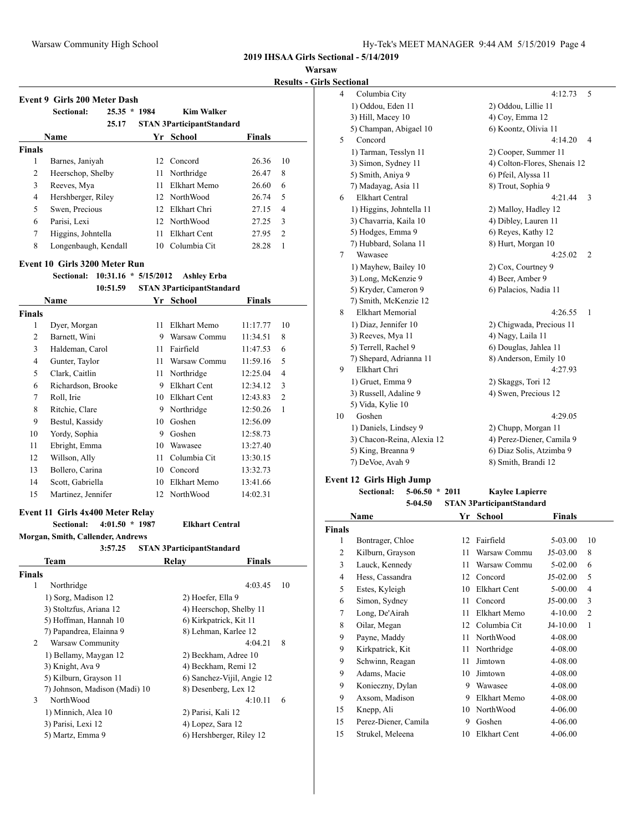**Warsaw**

**Results - Girls Sectional**

|                | <b>Event 9 Girls 200 Meter Dash</b>  |    |                                  |               |                         |
|----------------|--------------------------------------|----|----------------------------------|---------------|-------------------------|
|                | <b>Sectional:</b><br>$25.35 * 1984$  |    | <b>Kim Walker</b>                |               |                         |
|                | 25.17                                |    | <b>STAN 3ParticipantStandard</b> |               |                         |
|                | <b>Name</b>                          |    | Yr School                        | <b>Finals</b> |                         |
| <b>Finals</b>  |                                      |    |                                  |               |                         |
| 1              | Barnes, Janiyah                      |    | 12 Concord                       | 26.36         | 10                      |
| $\overline{2}$ | Heerschop, Shelby                    | 11 | Northridge                       | 26.47         | 8                       |
| 3              | Reeves, Mya                          | 11 | Elkhart Memo                     | 26.60         | 6                       |
| 4              | Hershberger, Riley                   |    | 12 NorthWood                     | 26.74         | 5                       |
| 5              | Swen, Precious                       |    | 12 Elkhart Chri                  | 27.15         | $\overline{4}$          |
| 6              | Parisi, Lexi                         |    | 12 NorthWood                     | 27.25         | 3                       |
| 7              | Higgins, Johntella                   | 11 | Elkhart Cent                     | 27.95         | 2                       |
| 8              | Longenbaugh, Kendall                 |    | 10 Columbia Cit                  | 28.28         | $\mathbf{1}$            |
|                | Event 10 Girls 3200 Meter Run        |    |                                  |               |                         |
|                | $10:31.16 * 5/15/2012$<br>Sectional: |    | <b>Ashley Erba</b>               |               |                         |
|                | 10:51.59                             |    | <b>STAN 3ParticipantStandard</b> |               |                         |
|                | <b>Name</b>                          |    | Yr School                        | <b>Finals</b> |                         |
| <b>Finals</b>  |                                      |    |                                  |               |                         |
| 1              | Dyer, Morgan                         | 11 | Elkhart Memo                     | 11:17.77      | 10                      |
| 2              | Barnett, Wini                        | 9  | Warsaw Commu                     | 11:34.51      | 8                       |
| 3              | Haldeman, Carol                      | 11 | Fairfield                        | 11:47.53      | 6                       |
| 4              | Gunter, Taylor                       | 11 | Warsaw Commu                     | 11:59.16      | 5                       |
| 5              | Clark, Caitlin                       | 11 | Northridge                       | 12:25.04      | 4                       |
| 6              | Dichardson Brooke                    |    | $0$ Ellchart Cant                | 12.3412       | $\overline{\mathbf{c}}$ |

|                | 10:51.59           |    | <b>STAN 3ParticipantStandard</b> |               |                |
|----------------|--------------------|----|----------------------------------|---------------|----------------|
|                | <b>Name</b>        | Yr | School                           | <b>Finals</b> |                |
| <b>inals</b>   |                    |    |                                  |               |                |
| 1              | Dyer, Morgan       | 11 | Elkhart Memo                     | 11:17.77      | 10             |
| $\overline{2}$ | Barnett, Wini      | 9  | Warsaw Commu                     | 11:34.51      | 8              |
| 3              | Haldeman, Carol    | 11 | Fairfield                        | 11:47.53      | 6              |
| 4              | Gunter, Taylor     | 11 | Warsaw Commu                     | 11:59.16      | 5              |
| 5              | Clark, Caitlin     | 11 | Northridge                       | 12:25.04      | $\overline{4}$ |
| 6              | Richardson, Brooke | 9  | <b>Elkhart Cent</b>              | 12:34.12      | 3              |
| 7              | Roll, Irie         | 10 | <b>Elkhart Cent</b>              | 12:43.83      | $\overline{2}$ |
| 8              | Ritchie, Clare     | 9  | Northridge                       | 12:50.26      | 1              |
| 9              | Bestul, Kassidy    | 10 | Goshen                           | 12:56.09      |                |
| 10             | Yordy, Sophia      | 9  | Goshen                           | 12:58.73      |                |
| 11             | Ebright, Emma      | 10 | Wawasee                          | 13:27.40      |                |
| 12             | Willson, Ally      | 11 | Columbia Cit                     | 13:30.15      |                |
| 13             | Bollero, Carina    | 10 | Concord                          | 13:32.73      |                |
| 14             | Scott, Gabriella   | 10 | Elkhart Memo                     | 13:41.66      |                |
| 15             | Martinez, Jennifer | 12 | NorthWood                        | 14:02.31      |                |

### **Event 11 Girls 4x400 Meter Relay**

**Sectional: 4:01.50 \* 1987 Elkhart Central**

**Morgan, Smith, Callender, Andrews**

|                | 3:57.25                       | <b>STAN 3ParticipantStandard</b> |               |
|----------------|-------------------------------|----------------------------------|---------------|
|                | Team                          | Relav                            | <b>Finals</b> |
| <b>Finals</b>  |                               |                                  |               |
| 1              | Northridge                    |                                  | 4:03.45<br>10 |
|                | 1) Sorg, Madison 12           | 2) Hoefer, Ella 9                |               |
|                | 3) Stoltzfus, Ariana 12       | 4) Heerschop, Shelby 11          |               |
|                | 5) Hoffman, Hannah 10         | 6) Kirkpatrick, Kit 11           |               |
|                | 7) Papandrea, Elainna 9       | 8) Lehman, Karlee 12             |               |
| $\mathfrak{D}$ | Warsaw Community              |                                  | 4:04.21<br>8  |
|                | 1) Bellamy, Maygan 12         | 2) Beckham, Adree 10             |               |
|                | 3) Knight, Ava 9              | 4) Beckham, Remi 12              |               |
|                | 5) Kilburn, Grayson 11        | 6) Sanchez-Vijil, Angie 12       |               |
|                | 7) Johnson, Madison (Madi) 10 | 8) Desenberg, Lex 12             |               |
| 3              | <b>NorthWood</b>              |                                  | 4:10.11<br>6  |
|                | 1) Minnich, Alea 10           | 2) Parisi, Kali 12               |               |
|                | 3) Parisi, Lexi 12            | 4) Lopez, Sara 12                |               |
|                | 5) Martz, Emma 9              | 6) Hershberger, Riley 12         |               |
|                |                               |                                  |               |

|    | www.                       |                              |
|----|----------------------------|------------------------------|
| 4  | Columbia City              | 5<br>4:12.73                 |
|    | 1) Oddou, Eden 11          | 2) Oddou, Lillie 11          |
|    | 3) Hill, Macey 10          | 4) Coy, Emma 12              |
|    | 5) Champan, Abigael 10     | 6) Koontz, Olivia 11         |
| 5  | Concord                    | 4:14.20<br>4                 |
|    | 1) Tarman, Tesslyn 11      | 2) Cooper, Summer 11         |
|    | 3) Simon, Sydney 11        | 4) Colton-Flores, Shenais 12 |
|    | 5) Smith, Aniya 9          | 6) Pfeil, Alyssa 11          |
|    | 7) Madayag, Asia 11        | 8) Trout, Sophia 9           |
| 6  | <b>Elkhart Central</b>     | 4:21.44<br>3                 |
|    | 1) Higgins, Johntella 11   | 2) Malloy, Hadley 12         |
|    | 3) Chavarria, Kaila 10     | 4) Dibley, Lauren 11         |
|    | 5) Hodges, Emma 9          | 6) Reyes, Kathy 12           |
|    | 7) Hubbard, Solana 11      | 8) Hurt, Morgan 10           |
| 7  | Wawasee                    | 4:25.02<br>$\overline{c}$    |
|    | 1) Mayhew, Bailey 10       | 2) Cox, Courtney 9           |
|    | 3) Long, McKenzie 9        | 4) Beer, Amber 9             |
|    | 5) Kryder, Cameron 9       | 6) Palacios, Nadia 11        |
|    | 7) Smith, McKenzie 12      |                              |
| 8  | <b>Elkhart Memorial</b>    | 4:26.55<br>1                 |
|    | 1) Diaz, Jennifer 10       | 2) Chigwada, Precious 11     |
|    | 3) Reeves, Mya 11          | 4) Nagy, Laila 11            |
|    | 5) Terrell, Rachel 9       | 6) Douglas, Jahlea 11        |
|    | 7) Shepard, Adrianna 11    | 8) Anderson, Emily 10        |
| 9  | Elkhart Chri               | 4:27.93                      |
|    | 1) Gruet, Emma 9           | 2) Skaggs, Tori 12           |
|    | 3) Russell, Adaline 9      | 4) Swen, Precious 12         |
|    | 5) Vida, Kylie 10          |                              |
| 10 | Goshen                     | 4:29.05                      |
|    | 1) Daniels, Lindsey 9      | 2) Chupp, Morgan 11          |
|    | 3) Chacon-Reina, Alexia 12 | 4) Perez-Diener, Camila 9    |
|    | 5) King, Breanna 9         | 6) Diaz Solis, Atzimba 9     |
|    | 7) DeVoe, Avah 9           | 8) Smith, Brandi 12          |
|    |                            |                              |

## **Event 12 Girls High Jump**

**Sectional: 5-06.50 \* 2011 Kaylee Lapierre**

|                | 5-04.50              |    | <b>STAN 3ParticipantStandard</b> |               |                |
|----------------|----------------------|----|----------------------------------|---------------|----------------|
|                | Name                 | Yr | <b>School</b>                    | <b>Finals</b> |                |
| <b>Finals</b>  |                      |    |                                  |               |                |
| 1              | Bontrager, Chloe     | 12 | Fairfield                        | 5-03.00       | 10             |
| 2              | Kilburn, Grayson     | 11 | Warsaw Commu                     | J5-03.00      | 8              |
| 3              | Lauck, Kennedy       | 11 | Warsaw Commu                     | $5-02.00$     | 6              |
| $\overline{4}$ | Hess, Cassandra      | 12 | Concord                          | $J5-02.00$    | 5              |
| 5              | Estes, Kyleigh       | 10 | <b>Elkhart Cent</b>              | 5-00.00       | 4              |
| 6              | Simon, Sydney        | 11 | Concord                          | J5-00.00      | 3              |
| $\overline{7}$ | Long, De'Airah       | 11 | Elkhart Memo                     | $4 - 10.00$   | $\overline{2}$ |
| 8              | Oilar, Megan         | 12 | Columbia Cit                     | $J4-10.00$    | 1              |
| 9              | Payne, Maddy         | 11 | NorthWood                        | 4-08.00       |                |
| 9              | Kirkpatrick, Kit     | 11 | Northridge                       | 4-08.00       |                |
| 9              | Schwinn, Reagan      | 11 | Jimtown                          | 4-08.00       |                |
| 9              | Adams, Macie         | 10 | Jimtown                          | 4-08.00       |                |
| 9              | Konieczny, Dylan     | 9  | Wawasee                          | 4-08.00       |                |
| 9              | Axsom, Madison       | 9  | Elkhart Memo                     | 4-08.00       |                |
| 15             | Knepp, Ali           | 10 | NorthWood                        | 4-06.00       |                |
| 15             | Perez-Diener, Camila | 9  | Goshen                           | $4 - 06.00$   |                |
|                |                      |    |                                  |               |                |

15 Strukel, Meleena 10 Elkhart Cent 4-06.00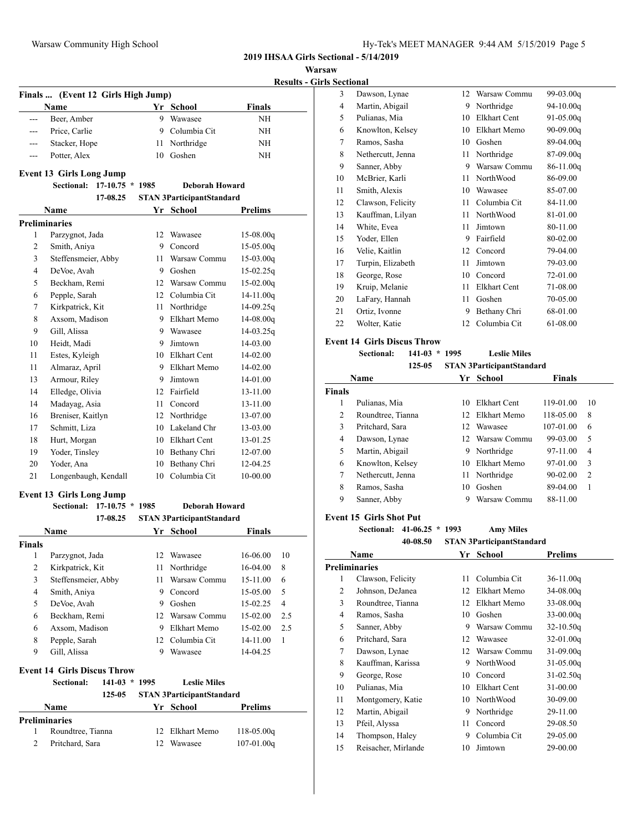**Warsaw**

**Results - Girls Sectional**

|                | Finals  (Event 12 Girls High Jump)     |    |                                  |                |                |
|----------------|----------------------------------------|----|----------------------------------|----------------|----------------|
|                | Name                                   |    | Yr School                        | <b>Finals</b>  |                |
| $\overline{a}$ | Beer, Amber                            |    | 9 Wawasee                        | NH             |                |
| $---$          | Price, Carlie                          |    | 9 Columbia Cit                   | NΗ             |                |
| ---            | Stacker, Hope                          | 11 | Northridge                       | NΗ             |                |
| $---$          | Potter, Alex                           | 10 | Goshen                           | NΗ             |                |
|                | <b>Event 13 Girls Long Jump</b>        |    |                                  |                |                |
|                | <b>Sectional:</b><br>$17-10.75 * 1985$ |    | <b>Deborah Howard</b>            |                |                |
|                | 17-08.25                               |    | <b>STAN 3ParticipantStandard</b> |                |                |
|                | Name                                   |    | Yr School                        | Prelims        |                |
|                | <b>Preliminaries</b>                   |    |                                  |                |                |
| 1              | Parzygnot, Jada                        | 12 | Wawasee                          | $15-08.00q$    |                |
| 2              | Smith, Aniya                           |    | 9 Concord                        | $15-05.00q$    |                |
| 3              | Steffensmeier, Abby                    | 11 | Warsaw Commu                     | $15-03.00q$    |                |
| 4              | DeVoe, Avah                            |    | 9 Goshen                         | $15-02.25q$    |                |
| 5              | Beckham, Remi                          |    | 12 Warsaw Commu                  | $15-02.00q$    |                |
| 6              | Pepple, Sarah                          |    | 12 Columbia Cit                  | $14 - 11.00q$  |                |
| 7              | Kirkpatrick, Kit                       | 11 | Northridge                       | 14-09.25q      |                |
| 8              | Axsom, Madison                         |    | 9 Elkhart Memo                   | $14 - 08.00q$  |                |
| 9              | Gill, Alissa                           |    | 9 Wawasee                        | $14-03.25q$    |                |
| 10             | Heidt, Madi                            |    | 9 Jimtown                        | 14-03.00       |                |
| 11             | Estes, Kyleigh                         |    | 10 Elkhart Cent                  | 14-02.00       |                |
| 11             | Almaraz, April                         |    | 9 Elkhart Memo                   | 14-02.00       |                |
| 13             | Armour, Riley                          | 9  | Jimtown                          | 14-01.00       |                |
| 14             | Elledge, Olivia                        |    | 12 Fairfield                     | 13-11.00       |                |
| 14             | Madayag, Asia                          | 11 | Concord                          | 13-11.00       |                |
| 16             | Breniser, Kaitlyn                      |    | 12 Northridge                    | 13-07.00       |                |
| 17             | Schmitt, Liza                          |    | 10 Lakeland Chr                  | 13-03.00       |                |
| 18             | Hurt, Morgan                           |    | 10 Elkhart Cent                  | 13-01.25       |                |
| 19             | Yoder, Tinsley                         |    | 10 Bethany Chri                  | 12-07.00       |                |
| 20             | Yoder, Ana                             | 10 | Bethany Chri                     | 12-04.25       |                |
| 21             | Longenbaugh, Kendall                   |    | 10 Columbia Cit                  | 10-00.00       |                |
|                | <b>Event 13 Girls Long Jump</b>        |    |                                  |                |                |
|                | Sectional:<br>$17-10.75 * 1985$        |    | <b>Deborah Howard</b>            |                |                |
|                | 17-08.25                               |    | <b>STAN 3ParticipantStandard</b> |                |                |
|                | Name                                   | Yr | <b>School</b>                    | Finals         |                |
| <b>Finals</b>  |                                        |    |                                  |                |                |
| 1              | Parzygnot, Jada                        | 12 | Wawasee                          | 16-06.00       | 10             |
| $\mathbf{2}$   | Kirkpatrick, Kit                       | 11 | Northridge                       | 16-04.00       | 8              |
| 3              | Steffensmeier, Abby                    | 11 | Warsaw Commu                     | 15-11.00       | 6              |
| 4              | Smith, Aniya                           | 9  | Concord                          | 15-05.00       | 5              |
| 5              | DeVoe, Avah                            | 9  | Goshen                           | 15-02.25       | $\overline{4}$ |
| 6              | Beckham, Remi                          |    | 12 Warsaw Commu                  | 15-02.00       | 2.5            |
| 6              | Axsom, Madison                         |    | 9 Elkhart Memo                   | 15-02.00       | 2.5            |
| 8              | Pepple, Sarah                          | 12 | Columbia Cit                     | 14-11.00       | 1              |
| 9              | Gill, Alissa                           | 9  | Wawasee                          | 14-04.25       |                |
|                | <b>Event 14 Girls Discus Throw</b>     |    |                                  |                |                |
|                | Sectional:<br>$141-03 * 1995$          |    | <b>Leslie Miles</b>              |                |                |
|                | 125-05                                 |    | <b>STAN 3ParticipantStandard</b> |                |                |
|                | Name                                   |    | Yr School                        | <b>Prelims</b> |                |
|                |                                        |    |                                  |                |                |

 Roundtree, Tianna 12 Elkhart Memo 118-05.00q Pritchard, Sara 12 Wawasee 107-01.00q

| w  |                   |    |              |             |  |
|----|-------------------|----|--------------|-------------|--|
|    | Sectional         |    |              |             |  |
| 3  | Dawson, Lynae     | 12 | Warsaw Commu | 99-03.00g   |  |
| 4  | Martin, Abigail   | 9  | Northridge   | 94-10.00g   |  |
| 5  | Pulianas, Mia     | 10 | Elkhart Cent | 91-05.00g   |  |
| 6  | Knowlton, Kelsey  | 10 | Elkhart Memo | 90-09.00g   |  |
| 7  | Ramos, Sasha      | 10 | Goshen       | 89-04.00q   |  |
| 8  | Nethercutt, Jenna | 11 | Northridge   | 87-09.00g   |  |
| 9  | Sanner, Abby      | 9  | Warsaw Commu | $86-11.00q$ |  |
| 10 | McBrier, Karli    | 11 | NorthWood    | 86-09.00    |  |
| 11 | Smith, Alexis     | 10 | Wawasee      | 85-07.00    |  |
| 12 | Clawson, Felicity | 11 | Columbia Cit | 84-11.00    |  |
| 13 | Kauffman, Lilyan  | 11 | NorthWood    | 81-01.00    |  |
| 14 | White, Evea       | 11 | Jimtown      | 80-11.00    |  |
| 15 | Yoder, Ellen      | 9  | Fairfield    | 80-02.00    |  |
| 16 | Velie, Kaitlin    | 12 | Concord      | 79-04.00    |  |
| 17 | Turpin, Elizabeth | 11 | Jimtown      | 79-03.00    |  |
| 18 | George, Rose      | 10 | Concord      | 72-01.00    |  |
| 19 | Kruip, Melanie    | 11 | Elkhart Cent | 71-08.00    |  |
| 20 | LaFary, Hannah    | 11 | Goshen       | 70-05.00    |  |
| 21 | Ortiz, Ivonne     | 9  | Bethany Chri | 68-01.00    |  |
| 22 | Wolter, Katie     | 12 | Columbia Cit | 61-08.00    |  |

#### **Event 14 Girls Discus Throw**

**Sectional: 141-03 \* 1995 Leslie Miles**

|        | 125-05            |     | <b>STAN 3ParticipantStandard</b> |               |                |
|--------|-------------------|-----|----------------------------------|---------------|----------------|
|        | Name              | Yr. | <b>School</b>                    | <b>Finals</b> |                |
| Finals |                   |     |                                  |               |                |
| 1      | Pulianas, Mia     | 10  | Elkhart Cent                     | 119-01.00     | 10             |
| 2      | Roundtree, Tianna | 12. | Elkhart Memo                     | 118-05.00     | 8              |
| 3      | Pritchard, Sara   | 12. | Wawasee                          | 107-01.00     | 6              |
| 4      | Dawson, Lynae     |     | 12 Warsaw Commu                  | 99-03.00      | 5              |
| 5      | Martin, Abigail   | 9   | Northridge                       | $97-11.00$    | 4              |
| 6      | Knowlton, Kelsey  | 10  | Elkhart Memo                     | 97-01.00      | 3              |
| 7      | Nethercutt, Jenna | 11  | Northridge                       | $90 - 02.00$  | $\overline{c}$ |
| 8      | Ramos, Sasha      | 10  | Goshen                           | 89-04.00      | 1              |
| 9      | Sanner, Abby      | 9   | Warsaw Commu                     | 88-11.00      |                |

## **Event 15 Girls Shot Put**

**Sectional: 41-06.25 \* 1993 Amy Miles**

| <b>STAN 3ParticipantStandard</b><br>40-08.50 |
|----------------------------------------------|
|----------------------------------------------|

|    | Name                | Yr | School       | <b>Prelims</b> |
|----|---------------------|----|--------------|----------------|
|    | Preliminaries       |    |              |                |
| 1  | Clawson, Felicity   | 11 | Columbia Cit | $36-11.00q$    |
| 2  | Johnson, DeJanea    | 12 | Elkhart Memo | $34-08.00q$    |
| 3  | Roundtree, Tianna   | 12 | Elkhart Memo | $33-08.00q$    |
| 4  | Ramos, Sasha        | 10 | Goshen       | $33-00.00q$    |
| 5  | Sanner, Abby        | 9  | Warsaw Commu | $32 - 10.50q$  |
| 6  | Pritchard, Sara     | 12 | Wawasee      | $32-01.00q$    |
| 7  | Dawson, Lynae       | 12 | Warsaw Commu | $31-09.00q$    |
| 8  | Kauffman, Karissa   | 9  | NorthWood    | $31 - 05.00q$  |
| 9  | George, Rose        | 10 | Concord      | $31 - 02.50q$  |
| 10 | Pulianas, Mia       | 10 | Elkhart Cent | 31-00.00       |
| 11 | Montgomery, Katie   | 10 | NorthWood    | 30-09.00       |
| 12 | Martin, Abigail     | 9  | Northridge   | 29-11.00       |
| 13 | Pfeil, Alyssa       | 11 | Concord      | 29-08.50       |
| 14 | Thompson, Haley     | 9  | Columbia Cit | 29-05.00       |
| 15 | Reisacher, Mirlande | 10 | Jimtown      | 29-00.00       |